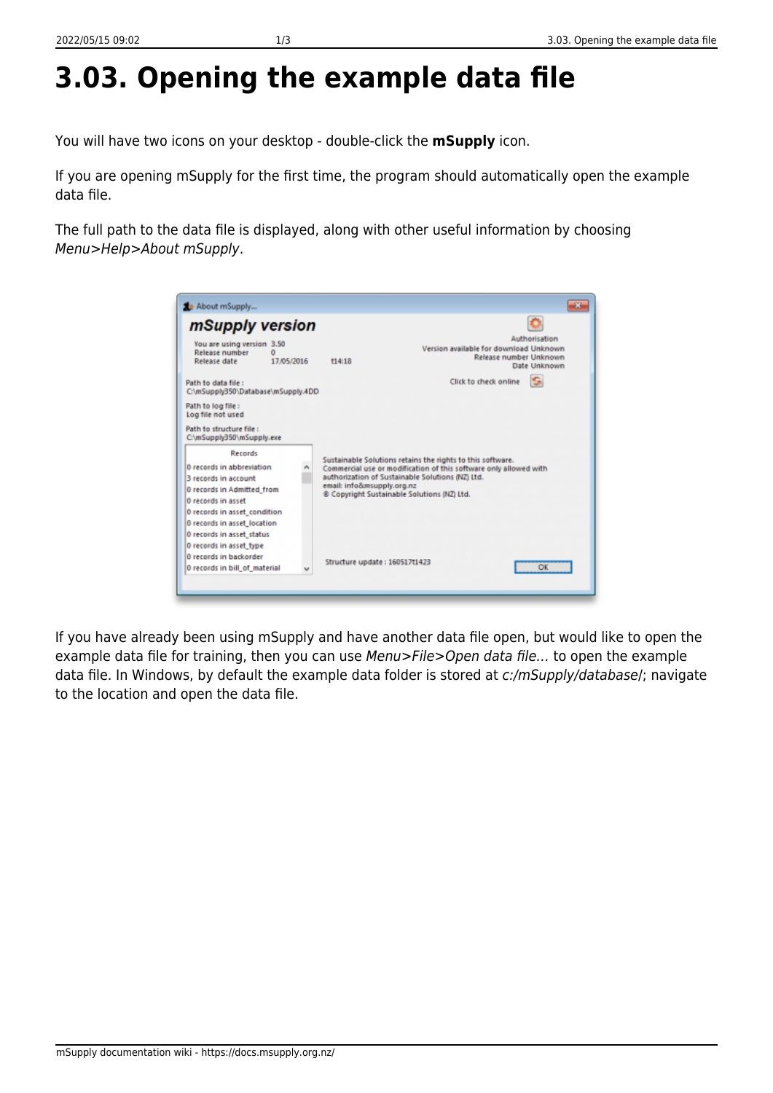## **3.03. Opening the example data file**

You will have two icons on your desktop - double-click the **mSupply** icon.

If you are opening mSupply for the first time, the program should automatically open the example data file.

The full path to the data file is displayed, along with other useful information by choosing Menu>Help>About mSupply.

| mSupply version                                                          |            |                                                                                                                                                                                     |                                        |                                                         |  |
|--------------------------------------------------------------------------|------------|-------------------------------------------------------------------------------------------------------------------------------------------------------------------------------------|----------------------------------------|---------------------------------------------------------|--|
| You are using version 3.50<br><b>Release number</b><br>n<br>Release date | 17/05/2016 | 114:18                                                                                                                                                                              | Version available for download Unknown | Authorisation<br>Release number Unknown<br>Date Unknown |  |
| Path to data file:<br>C:\mSupply350\Database\mSupply.4DD                 |            |                                                                                                                                                                                     | Click to check online                  |                                                         |  |
| Path to log file:<br>Log file not used                                   |            |                                                                                                                                                                                     |                                        |                                                         |  |
| Path to structure file:<br>C:\mSupply350\mSupply.exe                     |            |                                                                                                                                                                                     |                                        |                                                         |  |
| Records                                                                  |            |                                                                                                                                                                                     |                                        |                                                         |  |
| 0 records in abbreviation<br>3 records in account                        |            | Sustainable Solutions retains the rights to this software.<br>Commercial use or modification of this software only allowed with<br>authorization of Sustainable Solutions (NZ) Ltd. |                                        |                                                         |  |
| 0 records in Admitted from<br>0 records in asset                         |            | email: info&msupply.org.nz<br>® Copyright Sustainable Solutions (NZ) Ltd.                                                                                                           |                                        |                                                         |  |
| 0 records in asset_condition                                             |            |                                                                                                                                                                                     |                                        |                                                         |  |
| 0 records in asset location                                              |            |                                                                                                                                                                                     |                                        |                                                         |  |
| 0 records in asset_status                                                |            |                                                                                                                                                                                     |                                        |                                                         |  |
| 0 records in asset type                                                  |            |                                                                                                                                                                                     |                                        |                                                         |  |
| 0 records in backorder                                                   |            | Structure update: 160517t1423                                                                                                                                                       |                                        |                                                         |  |
| 0 records in bill of material                                            |            |                                                                                                                                                                                     |                                        | Оκ                                                      |  |

If you have already been using mSupply and have another data file open, but would like to open the example data file for training, then you can use Menu>File>Open data file... to open the example data file. In Windows, by default the example data folder is stored at c:/mSupply/database/; navigate to the location and open the data file.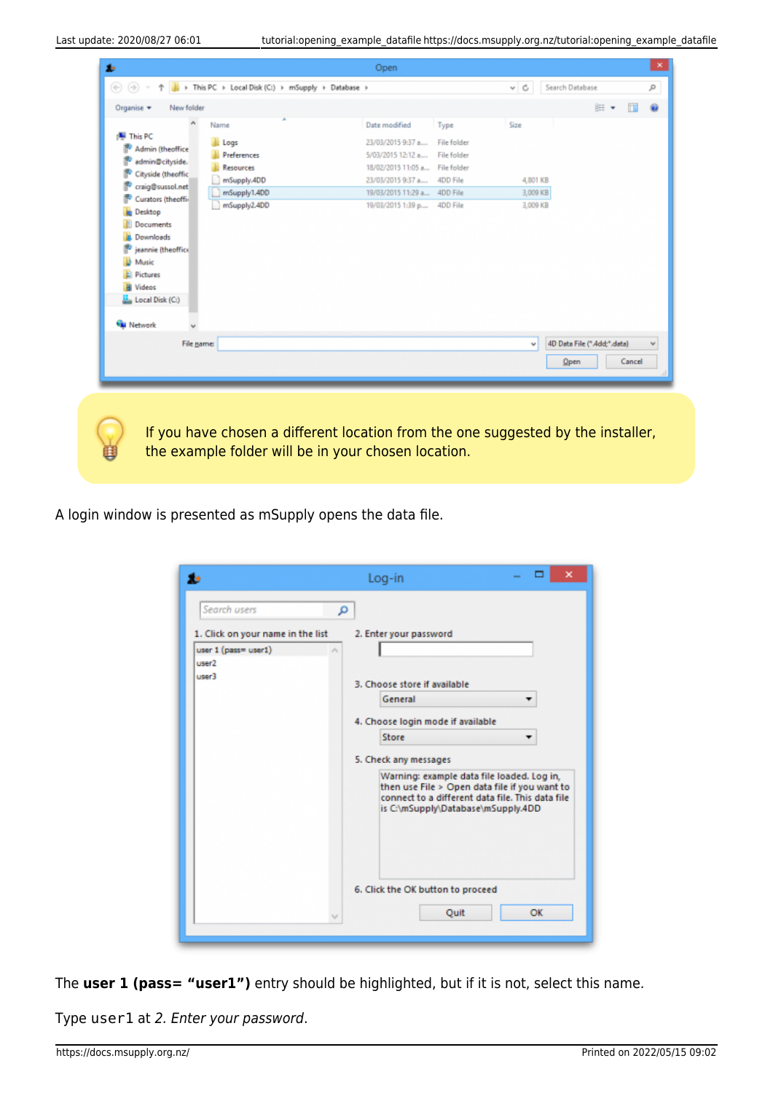|                          | Name                         | Date modified                                                | Type               | Size                 |                             |        |
|--------------------------|------------------------------|--------------------------------------------------------------|--------------------|----------------------|-----------------------------|--------|
| <b>图 This PC</b>         |                              | 23/03/2015 9:37 a                                            | <b>File folder</b> |                      |                             |        |
| <b>Admin (theoffice)</b> | Logs<br>Preferences          | 5/03/2015 12:12 a File folder                                |                    |                      |                             |        |
| admin@cityside.          |                              | 18/02/2015 11:05 a File folder                               |                    |                      |                             |        |
| Cityside (theoffic       | <b>Resources</b>             |                                                              |                    |                      |                             |        |
| craig@sussol.net         | mSupply.4DD                  | 23/03/2015 9:37 a 4DD File                                   |                    | 4,801 KB             |                             |        |
| Curators (theoffi-       | mSupply1.4DD<br>mSupply2.4DD | 19/03/2015 11:29 a.,. 4DD File<br>19/03/2015 1:39 p 4DD File |                    | 3,009 KB<br>3,009 KB |                             |        |
| Desktop                  |                              |                                                              |                    |                      |                             |        |
| Documents                |                              |                                                              |                    |                      |                             |        |
| Downloads                |                              |                                                              |                    |                      |                             |        |
| jeannie (theoffice       |                              |                                                              |                    |                      |                             |        |
| Music                    |                              |                                                              |                    |                      |                             |        |
| <b>El Pictures</b>       |                              |                                                              |                    |                      |                             |        |
| <b>W</b> Videos          |                              |                                                              |                    |                      |                             |        |
| Local Disk (C:)          |                              |                                                              |                    |                      |                             |        |
| <b>Cu</b> Network        |                              |                                                              |                    |                      |                             |        |
| File name:               |                              |                                                              |                    | v                    | 4D Data File (".4dd;".data) |        |
|                          |                              |                                                              |                    | Open                 |                             | Cancel |
|                          |                              |                                                              |                    |                      |                             |        |

A login window is presented as mSupply opens the data file.

| t.                                                                             | ×<br>Log-in                                                                                                                                                                           |
|--------------------------------------------------------------------------------|---------------------------------------------------------------------------------------------------------------------------------------------------------------------------------------|
| Search users                                                                   | م                                                                                                                                                                                     |
| 1. Click on your name in the list<br>user 1 (pass= user1)<br>user <sub>2</sub> | 2. Enter your password<br>v.                                                                                                                                                          |
| user3                                                                          | 3. Choose store if available<br>General                                                                                                                                               |
|                                                                                | 4. Choose login mode if available<br>Store                                                                                                                                            |
|                                                                                | 5. Check any messages                                                                                                                                                                 |
|                                                                                | Warning: example data file loaded. Log in,<br>then use File > Open data file if you want to<br>connect to a different data file. This data file<br>is C:\mSupply\Database\mSupply.4DD |
|                                                                                | 6. Click the OK button to proceed                                                                                                                                                     |
|                                                                                | Quit<br>OK<br>$\sim$                                                                                                                                                                  |
|                                                                                |                                                                                                                                                                                       |

The **user 1 (pass= "user1")** entry should be highlighted, but if it is not, select this name.

Type user1 at 2. Enter your password.